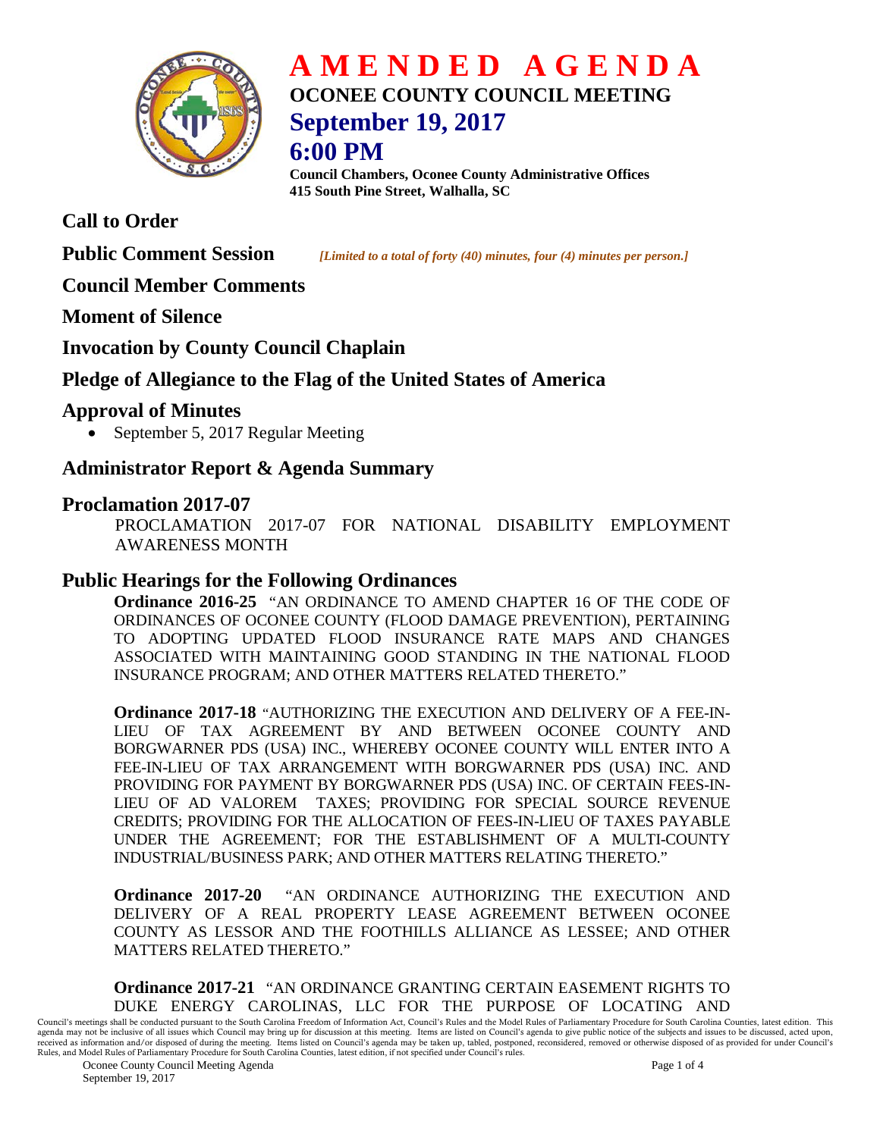

# **A M E N D E D A G E N D A OCONEE COUNTY COUNCIL MEETING September 19, 2017**

# **6:00 PM**

**Council Chambers, Oconee County Administrative Offices 415 South Pine Street, Walhalla, SC**

### **Call to Order**

**Public Comment Session** *<i>[Limited to a total of forty (40) minutes, four (4) minutes per person.]* 

#### **Council Member Comments**

**Moment of Silence** 

#### **Invocation by County Council Chaplain**

#### **Pledge of Allegiance to the Flag of the United States of America**

#### **Approval of Minutes**

• September 5, 2017 Regular Meeting

#### **Administrator Report & Agenda Summary**

#### **Proclamation 2017-07**

PROCLAMATION 2017-07 FOR NATIONAL DISABILITY EMPLOYMENT AWARENESS MONTH

#### **Public Hearings for the Following Ordinances**

**Ordinance 2016-25** "AN ORDINANCE TO AMEND CHAPTER 16 OF THE CODE OF ORDINANCES OF OCONEE COUNTY (FLOOD DAMAGE PREVENTION), PERTAINING TO ADOPTING UPDATED FLOOD INSURANCE RATE MAPS AND CHANGES ASSOCIATED WITH MAINTAINING GOOD STANDING IN THE NATIONAL FLOOD INSURANCE PROGRAM; AND OTHER MATTERS RELATED THERETO."

**Ordinance 2017-18** "AUTHORIZING THE EXECUTION AND DELIVERY OF A FEE-IN-LIEU OF TAX AGREEMENT BY AND BETWEEN OCONEE COUNTY AND BORGWARNER PDS (USA) INC., WHEREBY OCONEE COUNTY WILL ENTER INTO A FEE-IN-LIEU OF TAX ARRANGEMENT WITH BORGWARNER PDS (USA) INC. AND PROVIDING FOR PAYMENT BY BORGWARNER PDS (USA) INC. OF CERTAIN FEES-IN-LIEU OF AD VALOREM TAXES; PROVIDING FOR SPECIAL SOURCE REVENUE CREDITS; PROVIDING FOR THE ALLOCATION OF FEES-IN-LIEU OF TAXES PAYABLE UNDER THE AGREEMENT; FOR THE ESTABLISHMENT OF A MULTI-COUNTY INDUSTRIAL/BUSINESS PARK; AND OTHER MATTERS RELATING THERETO."

**Ordinance 2017-20** "AN ORDINANCE AUTHORIZING THE EXECUTION AND DELIVERY OF A REAL PROPERTY LEASE AGREEMENT BETWEEN OCONEE COUNTY AS LESSOR AND THE FOOTHILLS ALLIANCE AS LESSEE; AND OTHER MATTERS RELATED THERETO."

**Ordinance 2017-21** "AN ORDINANCE GRANTING CERTAIN EASEMENT RIGHTS TO DUKE ENERGY CAROLINAS, LLC FOR THE PURPOSE OF LOCATING AND

Council's meetings shall be conducted pursuant to the South Carolina Freedom of Information Act, Council's Rules and the Model Rules of Parliamentary Procedure for South Carolina Counties, latest edition. This agenda may not be inclusive of all issues which Council may bring up for discussion at this meeting. Items are listed on Council's agenda to give public notice of the subjects and issues to be discussed, acted upon,<br>receiv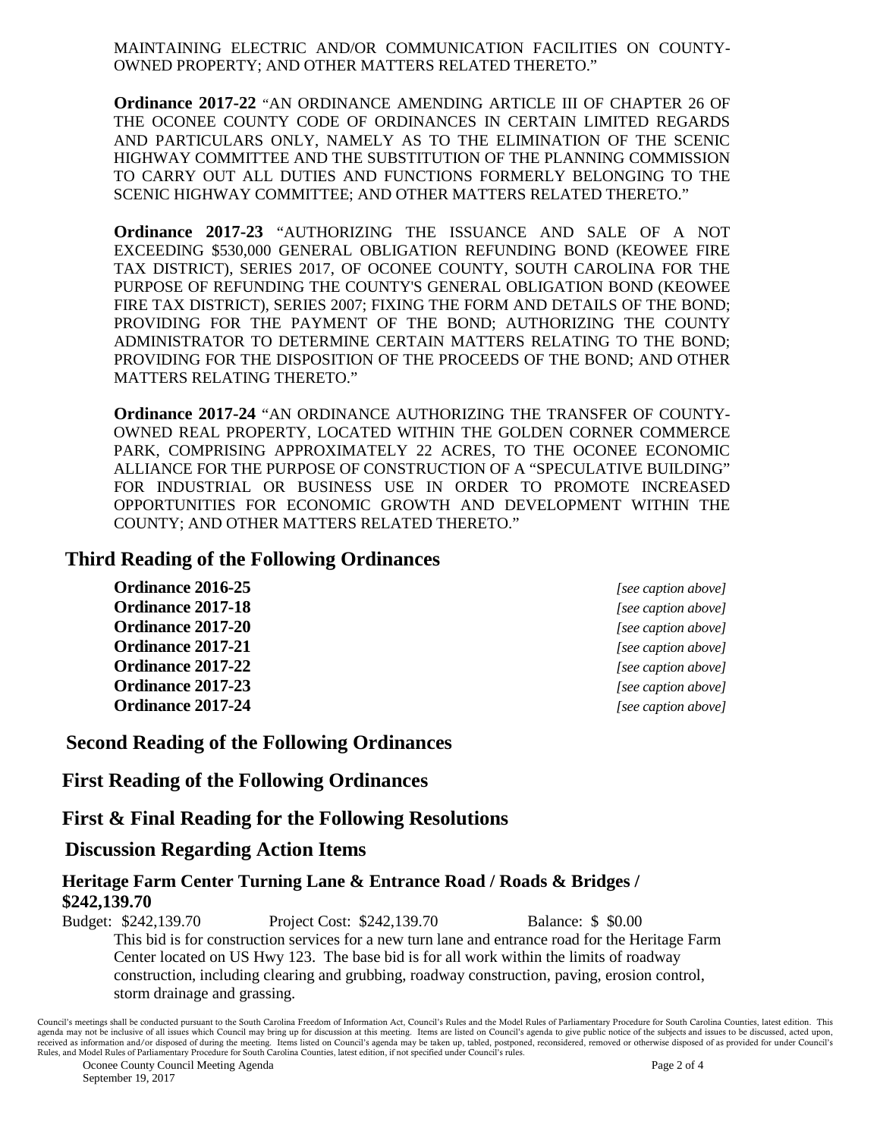MAINTAINING ELECTRIC AND/OR COMMUNICATION FACILITIES ON COUNTY-OWNED PROPERTY; AND OTHER MATTERS RELATED THERETO."

**Ordinance 2017-22** "AN ORDINANCE AMENDING ARTICLE III OF CHAPTER 26 OF THE OCONEE COUNTY CODE OF ORDINANCES IN CERTAIN LIMITED REGARDS AND PARTICULARS ONLY, NAMELY AS TO THE ELIMINATION OF THE SCENIC HIGHWAY COMMITTEE AND THE SUBSTITUTION OF THE PLANNING COMMISSION TO CARRY OUT ALL DUTIES AND FUNCTIONS FORMERLY BELONGING TO THE SCENIC HIGHWAY COMMITTEE; AND OTHER MATTERS RELATED THERETO."

**Ordinance 2017-23** "AUTHORIZING THE ISSUANCE AND SALE OF A NOT EXCEEDING \$530,000 GENERAL OBLIGATION REFUNDING BOND (KEOWEE FIRE TAX DISTRICT), SERIES 2017, OF OCONEE COUNTY, SOUTH CAROLINA FOR THE PURPOSE OF REFUNDING THE COUNTY'S GENERAL OBLIGATION BOND (KEOWEE FIRE TAX DISTRICT), SERIES 2007; FIXING THE FORM AND DETAILS OF THE BOND; PROVIDING FOR THE PAYMENT OF THE BOND; AUTHORIZING THE COUNTY ADMINISTRATOR TO DETERMINE CERTAIN MATTERS RELATING TO THE BOND; PROVIDING FOR THE DISPOSITION OF THE PROCEEDS OF THE BOND; AND OTHER MATTERS RELATING THERETO."

**Ordinance 2017-24** "AN ORDINANCE AUTHORIZING THE TRANSFER OF COUNTY-OWNED REAL PROPERTY, LOCATED WITHIN THE GOLDEN CORNER COMMERCE PARK, COMPRISING APPROXIMATELY 22 ACRES, TO THE OCONEE ECONOMIC ALLIANCE FOR THE PURPOSE OF CONSTRUCTION OF A "SPECULATIVE BUILDING" FOR INDUSTRIAL OR BUSINESS USE IN ORDER TO PROMOTE INCREASED OPPORTUNITIES FOR ECONOMIC GROWTH AND DEVELOPMENT WITHIN THE COUNTY; AND OTHER MATTERS RELATED THERETO."

#### **Third Reading of the Following Ordinances**

**Ordinance 2016-25** *[see caption above]* **Ordinance 2017-18** *[see caption above]* **Ordinance 2017-20** *<i>See caption above] [see caption above]* **Ordinance 2017-21** *[see caption above]* **Ordinance 2017-22** *[see caption above]* **Ordinance 2017-23** *[see caption above]* **Ordinance 2017-24** *[see caption above]*

#### **Second Reading of the Following Ordinances**

**First Reading of the Following Ordinances**

#### **First & Final Reading for the Following Resolutions**

#### **Discussion Regarding Action Items**

#### **Heritage Farm Center Turning Lane & Entrance Road / Roads & Bridges / \$242,139.70**

Budget: \$242,139.70 Project Cost: \$242,139.70 Balance: \$ \$0.00 This bid is for construction services for a new turn lane and entrance road for the Heritage Farm Center located on US Hwy 123. The base bid is for all work within the limits of roadway construction, including clearing and grubbing, roadway construction, paving, erosion control, storm drainage and grassing.

Council's meetings shall be conducted pursuant to the South Carolina Freedom of Information Act, Council's Rules and the Model Rules of Parliamentary Procedure for South Carolina Counties, latest edition. This agenda may not be inclusive of all issues which Council may bring up for discussion at this meeting. Items are listed on Council's agenda to give public notice of the subjects and issues to be discussed, acted upon,<br>receiv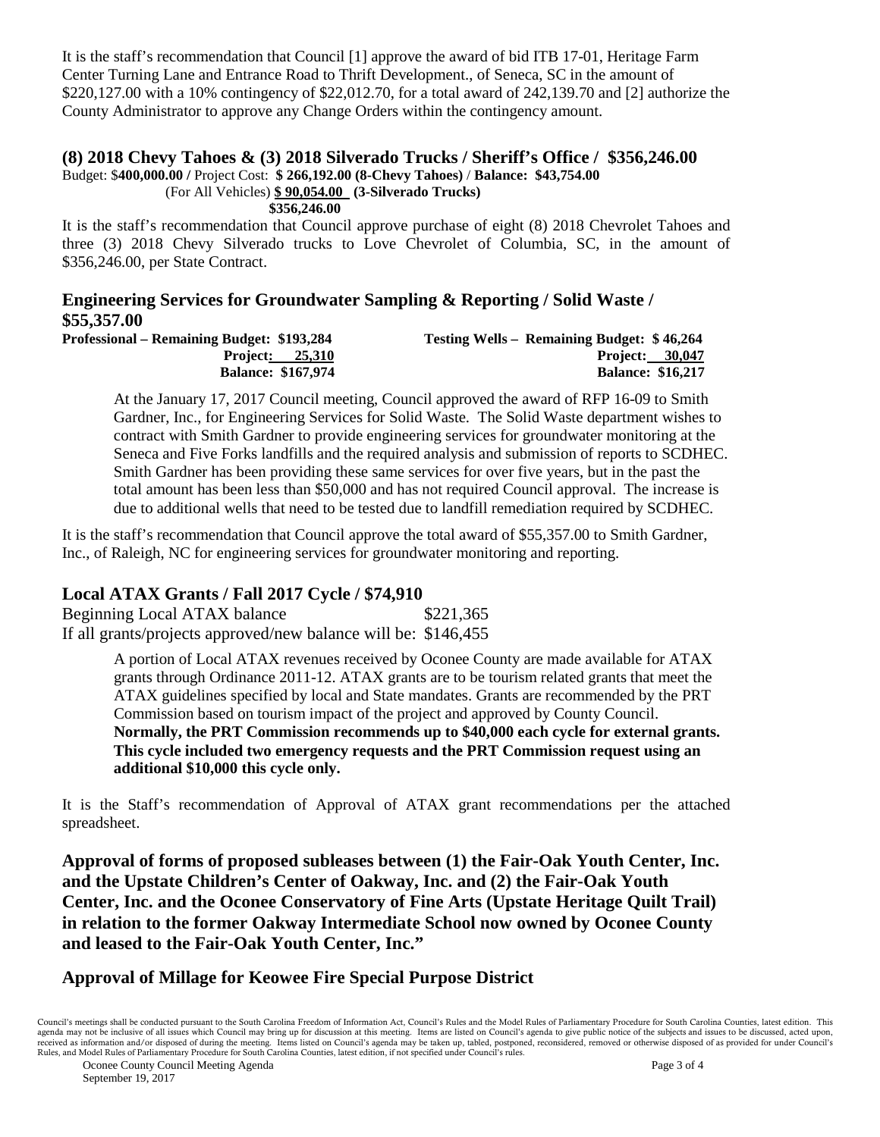It is the staff's recommendation that Council [1] approve the award of bid ITB 17-01, Heritage Farm Center Turning Lane and Entrance Road to Thrift Development., of Seneca, SC in the amount of \$220,127.00 with a 10% contingency of \$22,012.70, for a total award of 242,139.70 and [2] authorize the County Administrator to approve any Change Orders within the contingency amount.

## **(8) 2018 Chevy Tahoes & (3) 2018 Silverado Trucks / Sheriff's Office / \$356,246.00**

Budget: \$**400,000.00 /** Project Cost: **\$ 266,192.00 (8-Chevy Tahoes)** / **Balance: \$43,754.00**

(For All Vehicles) **\$ 90,054.00 (3-Silverado Trucks)**

**\$356,246.00**

It is the staff's recommendation that Council approve purchase of eight (8) 2018 Chevrolet Tahoes and three (3) 2018 Chevy Silverado trucks to Love Chevrolet of Columbia, SC, in the amount of \$356,246.00, per State Contract.

# **Engineering Services for Groundwater Sampling & Reporting / Solid Waste / \$55,357.00**

**Professional – Remaining Budget: \$193,284 Testing Wells – Remaining Budget: \$ 46,264** Project<u>: 25,310</u> Project: 25,310 **Balance: \$167,974 Balance: \$16,217** 

At the January 17, 2017 Council meeting, Council approved the award of RFP 16-09 to Smith Gardner, Inc., for Engineering Services for Solid Waste. The Solid Waste department wishes to contract with Smith Gardner to provide engineering services for groundwater monitoring at the Seneca and Five Forks landfills and the required analysis and submission of reports to SCDHEC. Smith Gardner has been providing these same services for over five years, but in the past the total amount has been less than \$50,000 and has not required Council approval. The increase is due to additional wells that need to be tested due to landfill remediation required by SCDHEC.

It is the staff's recommendation that Council approve the total award of \$55,357.00 to Smith Gardner, Inc., of Raleigh, NC for engineering services for groundwater monitoring and reporting.

#### **Local ATAX Grants / Fall 2017 Cycle / \$74,910**

Beginning Local ATAX balance \$221,365 If all grants/projects approved/new balance will be: \$146,455

> A portion of Local ATAX revenues received by Oconee County are made available for ATAX grants through Ordinance 2011-12. ATAX grants are to be tourism related grants that meet the ATAX guidelines specified by local and State mandates. Grants are recommended by the PRT Commission based on tourism impact of the project and approved by County Council. **Normally, the PRT Commission recommends up to \$40,000 each cycle for external grants. This cycle included two emergency requests and the PRT Commission request using an additional \$10,000 this cycle only.**

It is the Staff's recommendation of Approval of ATAX grant recommendations per the attached spreadsheet.

**Approval of forms of proposed subleases between (1) the Fair-Oak Youth Center, Inc. and the Upstate Children's Center of Oakway, Inc. and (2) the Fair-Oak Youth Center, Inc. and the Oconee Conservatory of Fine Arts (Upstate Heritage Quilt Trail) in relation to the former Oakway Intermediate School now owned by Oconee County and leased to the Fair-Oak Youth Center, Inc."**

#### **Approval of Millage for Keowee Fire Special Purpose District**

Council's meetings shall be conducted pursuant to the South Carolina Freedom of Information Act, Council's Rules and the Model Rules of Parliamentary Procedure for South Carolina Counties, latest edition. This agenda may not be inclusive of all issues which Council may bring up for discussion at this meeting. Items are listed on Council's agenda to give public notice of the subjects and issues to be discussed, acted upon,<br>receiv Rules, and Model Rules of Parliamentary Procedure for South Carolina Counties, latest edition, if not specified under Council's rules.